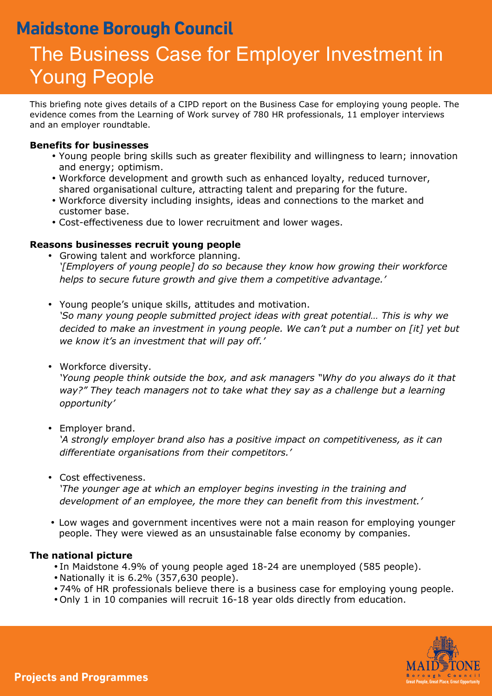## **Maidstone Borough Council**

# The Business Case for Employer Investment in Young People

This briefing note gives details of a CIPD report on the Business Case for employing young people. The evidence comes from the Learning of Work survey of 780 HR professionals, 11 employer interviews and an employer roundtable.

#### **Benefits for businesses**

- Young people bring skills such as greater flexibility and willingness to learn; innovation and energy; optimism.
- Workforce development and growth such as enhanced loyalty, reduced turnover, shared organisational culture, attracting talent and preparing for the future.
- Workforce diversity including insights, ideas and connections to the market and customer base.
- Cost-effectiveness due to lower recruitment and lower wages.

### **Reasons businesses recruit young people**

- Growing talent and workforce planning. *'[Employers of young people] do so because they know how growing their workforce helps to secure future growth and give them a competitive advantage.'*
- Young people's unique skills, attitudes and motivation.

*'So many young people submitted project ideas with great potential... This is why we decided to make an investment in young people. We can't put a number on [it] yet but we know it's an investment that will pay off.'* 

• Workforce diversity.

*'Young people think outside the box, and ask managers "Why do you always do it that way?" They teach managers not to take what they say as a challenge but a learning opportunity'* 

• Employer brand.

*'A strongly employer brand also has a positive impact on competitiveness, as it can differentiate organisations from their competitors.'* 

• Cost effectiveness.

*'The younger age at which an employer begins investing in the training and development of an employee, the more they can benefit from this investment.'* 

• Low wages and government incentives were not a main reason for employing younger people. They were viewed as an unsustainable false economy by companies.

#### **The national picture**

- In Maidstone 4.9% of young people aged 18-24 are unemployed (585 people).
- Nationally it is 6.2% (357,630 people).
- 74% of HR professionals believe there is a business case for employing young people.
- Only 1 in 10 companies will recruit 16-18 year olds directly from education.

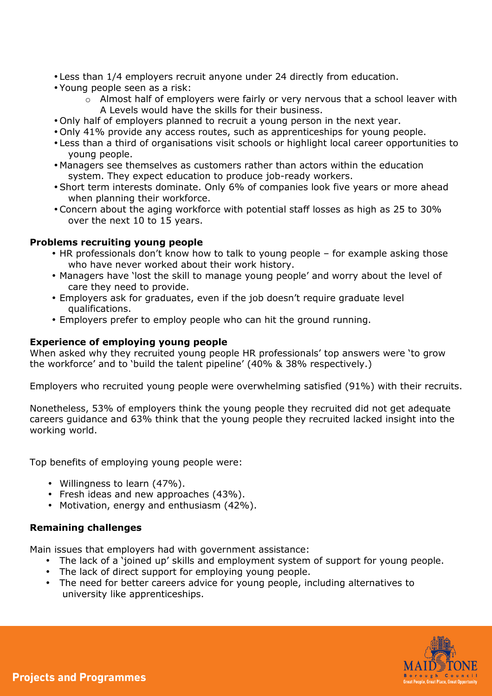- Less than 1/4 employers recruit anyone under 24 directly from education.
- Young people seen as a risk:
	- o Almost half of employers were fairly or very nervous that a school leaver with A Levels would have the skills for their business.
- Only half of employers planned to recruit a young person in the next year.
- Only 41% provide any access routes, such as apprenticeships for young people.
- Less than a third of organisations visit schools or highlight local career opportunities to young people.
- Managers see themselves as customers rather than actors within the education system. They expect education to produce job-ready workers.
- Short term interests dominate. Only 6% of companies look five years or more ahead when planning their workforce.
- Concern about the aging workforce with potential staff losses as high as 25 to 30% over the next 10 to 15 years.

#### **Problems recruiting young people**

- HR professionals don't know how to talk to young people for example asking those who have never worked about their work history.
- Managers have 'lost the skill to manage young people' and worry about the level of care they need to provide.
- Employers ask for graduates, even if the job doesn't require graduate level qualifications.
- Employers prefer to employ people who can hit the ground running.

#### **Experience of employing young people**

When asked why they recruited young people HR professionals' top answers were 'to grow the workforce' and to 'build the talent pipeline' (40% & 38% respectively.)

Employers who recruited young people were overwhelming satisfied (91%) with their recruits.

Nonetheless, 53% of employers think the young people they recruited did not get adequate careers guidance and 63% think that the young people they recruited lacked insight into the working world.

Top benefits of employing young people were:

- Willingness to learn (47%).
- Fresh ideas and new approaches (43%).
- Motivation, energy and enthusiasm (42%).

#### **Remaining challenges**

Main issues that employers had with government assistance:

- The lack of a 'joined up' skills and employment system of support for young people.
- The lack of direct support for employing young people.
- The need for better careers advice for young people, including alternatives to university like apprenticeships.